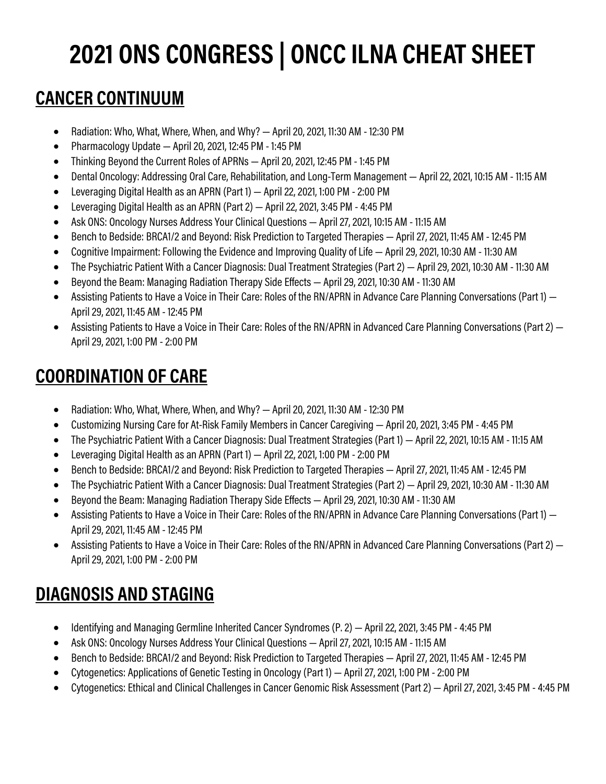# **2021 ONS CONGRESS | ONCC ILNA CHEAT SHEET**

#### **CANCER CONTINUUM**

- Radiation: Who, What, Where, When, and Why?  $-$  April 20, 2021, 11:30 AM 12:30 PM
- Pharmacology Update April 20, 2021, 12:45 PM 1:45 PM
- Thinking Beyond the Current Roles of APRNs April 20, 2021, 12:45 PM 1:45 PM
- Dental Oncology: Addressing Oral Care, Rehabilitation, and Long-Term Management April 22, 2021, 10:15 AM 11:15 AM
- Leveraging Digital Health as an APRN (Part 1) April 22, 2021, 1:00 PM -2:00 PM
- Leveraging Digital Health as an APRN (Part 2) April 22, 2021, 3:45 PM 4:45 PM
- Ask ONS: Oncology Nurses Address Your Clinical Questions April 27, 2021, 10:15 AM 11:15 AM
- Bench to Bedside: BRCA1/2 and Beyond: Risk Prediction to Targeted Therapies April 27, 2021, 11:45 AM 12:45 PM
- Cognitive Impairment: Following the Evidence and Improving Quality of Life April 29, 2021, 10:30 AM 11:30 AM
- The Psychiatric Patient With a Cancer Diagnosis: Dual Treatment Strategies (Part 2) April 29, 2021, 10:30 AM 11:30 AM
- Beyond the Beam: Managing Radiation Therapy Side Effects April 29, 2021, 10:30 AM 11:30 AM
- Assisting Patients to Have a Voice in Their Care: Roles of the RN/APRN in Advance Care Planning Conversations (Part 1) April 29, 2021, 11:45 AM - 12:45 PM
- Assisting Patients to Have a Voice in Their Care: Roles of the RN/APRN in Advanced Care Planning Conversations (Part 2) April 29, 2021, 1:00 PM -2:00 PM

#### **COORDINATION OF CARE**

- Radiation: Who, What, Where, When, and Why?  $-$  April 20, 2021, 11:30 AM 12:30 PM
- Customizing Nursing Care for At-Risk Family Members in Cancer Caregiving April 20, 2021, 3:45 PM 4:45 PM
- The Psychiatric Patient With a Cancer Diagnosis: Dual Treatment Strategies (Part 1) April 22, 2021, 10:15 AM 11:15 AM
- Leveraging Digital Health as an APRN (Part 1) April 22, 2021, 1:00 PM -2:00 PM
- Bench to Bedside: BRCA1/2 and Beyond: Risk Prediction to Targeted Therapies April 27, 2021, 11:45 AM 12:45 PM
- The Psychiatric Patient With a Cancer Diagnosis: Dual Treatment Strategies (Part 2) April 29, 2021, 10:30 AM 11:30 AM
- Beyond the Beam: Managing Radiation Therapy Side Effects April 29, 2021, 10:30 AM 11:30 AM
- Assisting Patients to Have a Voice in Their Care: Roles of the RN/APRN in Advance Care Planning Conversations (Part 1) April 29, 2021, 11:45 AM - 12:45 PM
- Assisting Patients to Have a Voice in Their Care: Roles of the RN/APRN in Advanced Care Planning Conversations (Part 2) April 29, 2021, 1:00 PM -2:00 PM

# **DIAGNOSIS AND STAGING**

- Identifying and Managing Germline Inherited Cancer Syndromes (P.2) April 22, 2021, 3:45 PM 4:45 PM
- Ask ONS: Oncology Nurses Address Your Clinical Questions April 27, 2021, 10:15 AM 11:15 AM
- Bench to Bedside: BRCA1/2 and Beyond: Risk Prediction to Targeted Therapies April 27, 2021, 11:45 AM 12:45 PM
- Cytogenetics: Applications of Genetic Testing in Oncology (Part 1) April 27, 2021, 1:00 PM -2:00 PM
- Cytogenetics: Ethical and Clinical Challenges in Cancer Genomic Risk Assessment (Part 2) April 27, 2021, 3:45 PM 4:45 PM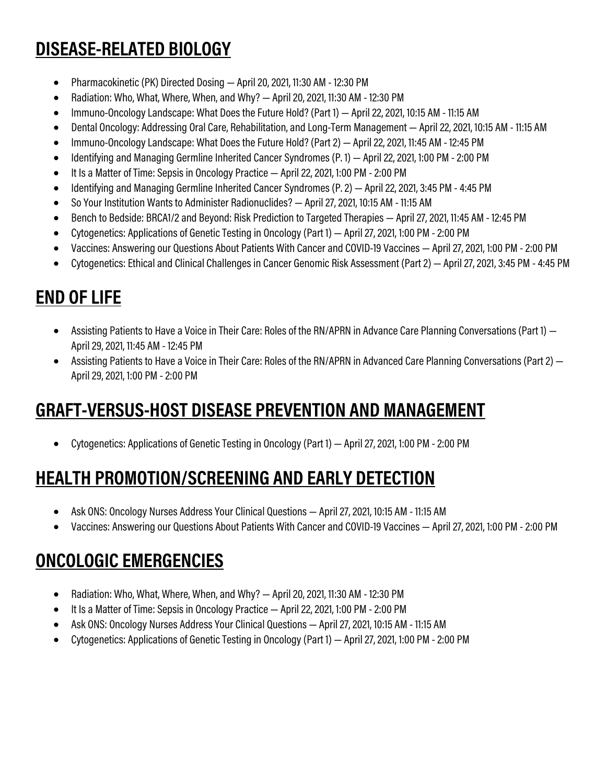# **DISEASE-RELATED BIOLOGY**

- Pharmacokinetic (PK) Directed Dosing April 20, 2021, 11:30 AM 12:30 PM
- Radiation: Who, What, Where, When, and Why? April 20, 2021, 11:30 AM 12:30 PM
- Immuno-Oncology Landscape: What Does the Future Hold? (Part 1) April 22, 2021, 10:15 AM 11:15 AM
- Dental Oncology: Addressing Oral Care, Rehabilitation, and Long-Term Management April 22, 2021, 10:15 AM 11:15 AM
- Immuno-Oncology Landscape: What Does the Future Hold? (Part 2) April 22,2021, 11:45 AM 12:45 PM
- Identifying and Managing Germline Inherited Cancer Syndromes (P. 1) April 22, 2021, 1:00 PM -2:00 PM
- It Is a Matter of Time: Sepsis in Oncology Practice April 22, 2021, 1:00 PM -2:00 PM
- Identifying and Managing Germline Inherited Cancer Syndromes (P. 2) April 22, 2021, 3:45 PM 4:45 PM
- So Your Institution Wants to Administer Radionuclides? April 27, 2021, 10:15 AM 11:15 AM
- Bench to Bedside: BRCA1/2 and Beyond: Risk Prediction to Targeted Therapies April 27, 2021, 11:45 AM 12:45 PM
- Cytogenetics: Applications of Genetic Testing in Oncology (Part 1) April 27, 2021, 1:00 PM -2:00 PM
- Vaccines: Answering our Questions About Patients With Cancer and COVID-19 Vaccines April 27, 2021, 1:00 PM -2:00 PM
- Cytogenetics: Ethical and Clinical Challenges in Cancer Genomic Risk Assessment (Part 2) April 27, 2021, 3:45 PM 4:45 PM

# **END OF LIFE**

- Assisting Patients to Have a Voice in Their Care: Roles of the RN/APRN in Advance Care Planning Conversations (Part 1) April 29, 2021, 11:45 AM - 12:45 PM
- Assisting Patients to Have a Voice in Their Care: Roles of the RN/APRN in Advanced Care Planning Conversations (Part 2) April 29, 2021, 1:00 PM -2:00 PM

## **GRAFT-VERSUS-HOST DISEASE PREVENTION AND MANAGEMENT**

• Cytogenetics: Applications of Genetic Testing in Oncology (Part 1) — April 27, 2021, 1:00 PM -2:00 PM

#### **HEALTH PROMOTION/SCREENING AND EARLY DETECTION**

- Ask ONS: Oncology Nurses Address Your Clinical Questions April 27, 2021, 10:15 AM 11:15 AM
- Vaccines: Answering our Questions About Patients With Cancer and COVID-19 Vaccines April 27, 2021, 1:00 PM -2:00 PM

## **ONCOLOGIC EMERGENCIES**

- Radiation: Who, What, Where, When, and Why?  $-$  April 20, 2021, 11:30 AM 12:30 PM
- It Is a Matter of Time: Sepsis in Oncology Practice April 22, 2021, 1:00 PM -2:00 PM
- Ask ONS: Oncology Nurses Address Your Clinical Questions April 27, 2021, 10:15 AM 11:15 AM
- Cytogenetics: Applications of Genetic Testing in Oncology (Part 1) April 27, 2021, 1:00 PM -2:00 PM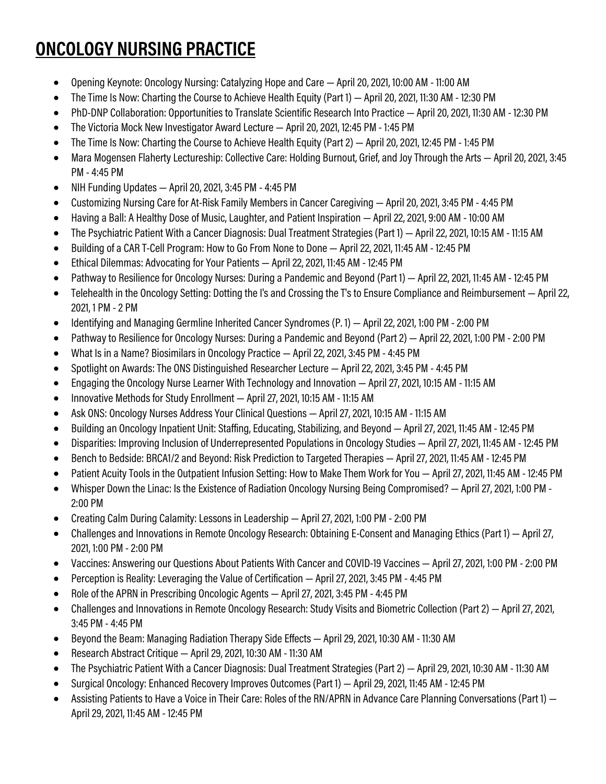# **ONCOLOGY NURSING PRACTICE**

- Opening Keynote: Oncology Nursing: Catalyzing Hope and Care April 20, 2021, 10:00 AM 11:00 AM
- The Time Is Now: Charting the Course to Achieve Health Equity (Part 1) April 20, 2021, 11:30 AM 12:30 PM
- PhD-DNP Collaboration: Opportunities to Translate Scientific Research Into Practice April 20, 2021, 11:30 AM 12:30 PM
- The Victoria Mock New Investigator Award Lecture April 20, 2021, 12:45 PM 1:45 PM
- The Time Is Now: Charting the Course to Achieve Health Equity (Part2) April 20, 2021, 12:45 PM 1:45 PM
- Mara Mogensen Flaherty Lectureship: Collective Care: Holding Burnout, Grief, and Joy Through the Arts April 20, 2021, 3:45 PM - 4:45 PM
- NIH Funding Updates April 20, 2021, 3:45 PM 4:45 PM
- Customizing Nursing Care for At-Risk Family Members in Cancer Caregiving April 20, 2021, 3:45 PM 4:45 PM
- Having a Ball: A Healthy Dose of Music, Laughter, and Patient Inspiration April 22, 2021, 9:00 AM 10:00 AM
- The Psychiatric Patient With a Cancer Diagnosis: Dual Treatment Strategies (Part 1) April 22, 2021, 10:15 AM 11:15 AM
- Building of a CAR T-Cell Program: How to Go From None to Done April 22, 2021, 11:45 AM 12:45 PM
- Ethical Dilemmas: Advocating for Your Patients April 22, 2021, 11:45 AM 12:45 PM
- Pathway to Resilience for Oncology Nurses: During a Pandemic and Beyond (Part 1) April 22, 2021, 11:45 AM 12:45 PM
- Telehealth in the Oncology Setting: Dotting the I's and Crossing the T's to Ensure Compliance and Reimbursement April 22, 2021, 1 PM -2 PM
- Identifying and Managing Germline Inherited Cancer Syndromes (P. 1) April 22, 2021, 1:00 PM -2:00 PM
- Pathway to Resilience for Oncology Nurses: During a Pandemic and Beyond (Part 2) April 22, 2021, 1:00 PM -2:00 PM
- What Is in a Name? Biosimilars in Oncology Practice April 22, 2021, 3:45 PM 4:45 PM
- Spotlight on Awards: The ONS Distinguished Researcher Lecture April 22, 2021, 3:45 PM 4:45 PM
- Engaging the Oncology Nurse Learner With Technology and Innovation April 27, 2021, 10:15 AM 11:15 AM
- Innovative Methods for Study Enrollment April 27, 2021, 10:15 AM 11:15 AM
- Ask ONS: Oncology Nurses Address Your Clinical Questions April 27, 2021, 10:15 AM 11:15 AM
- Building an Oncology Inpatient Unit: Staffing, Educating, Stabilizing, and Beyond April 27, 2021, 11:45 AM 12:45 PM
- Disparities: Improving Inclusion of Underrepresented Populations in Oncology Studies April 27, 2021, 11:45 AM 12:45 PM
- Bench to Bedside: BRCA1/2 and Beyond: Risk Prediction to Targeted Therapies April 27, 2021, 11:45 AM 12:45 PM
- Patient Acuity Tools in the Outpatient Infusion Setting: How to Make Them Work for You April 27, 2021, 11:45 AM 12:45 PM
- Whisper Down the Linac: Is the Existence of Radiation Oncology Nursing Being Compromised? April 27, 2021, 1:00 PM 2:00 PM
- Creating Calm During Calamity: Lessons in Leadership April 27, 2021, 1:00 PM 2:00 PM
- Challenges and Innovations in Remote Oncology Research: Obtaining E-Consent and Managing Ethics (Part 1) April 27, 2021, 1:00 PM -2:00 PM
- Vaccines: Answering our Questions About Patients With Cancer and COVID-19 Vaccines April 27, 2021, 1:00 PM -2:00 PM
- Perception is Reality: Leveraging the Value of Certification April 27, 2021, 3:45 PM 4:45 PM
- Role of the APRN in Prescribing Oncologic Agents April 27, 2021, 3:45 PM 4:45 PM
- Challenges and Innovations in Remote Oncology Research: Study Visits and Biometric Collection (Part 2) April 27, 2021, 3:45 PM - 4:45 PM
- Beyond the Beam: Managing Radiation Therapy Side Effects April 29, 2021, 10:30 AM 11:30 AM
- Research Abstract Critique April 29, 2021, 10:30 AM 11:30 AM
- The Psychiatric Patient With a Cancer Diagnosis: Dual Treatment Strategies (Part 2) April 29, 2021, 10:30 AM 11:30 AM
- Surgical Oncology: Enhanced Recovery Improves Outcomes (Part 1) April 29, 2021, 11:45 AM 12:45 PM
- Assisting Patients to Have a Voice in Their Care: Roles of the RN/APRN in Advance Care Planning Conversations (Part 1) April 29, 2021, 11:45 AM - 12:45 PM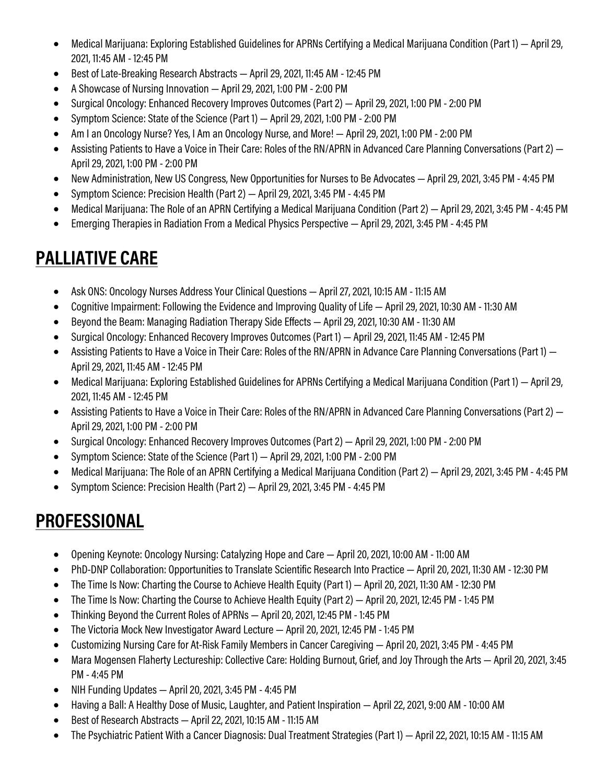- Medical Marijuana: Exploring Established Guidelines for APRNs Certifying a Medical Marijuana Condition (Part 1) April 29, 2021, 11:45 AM - 12:45 PM
- Best of Late-Breaking Research Abstracts April 29, 2021, 11:45 AM 12:45 PM
- A Showcase of Nursing Innovation April 29, 2021, 1:00 PM 2:00 PM
- Surgical Oncology: Enhanced Recovery Improves Outcomes (Part 2) April 29, 2021, 1:00 PM 2:00 PM
- Symptom Science: State of the Science (Part 1) April 29, 2021, 1:00 PM -2:00 PM
- Am I an Oncology Nurse? Yes, I Am an Oncology Nurse, and More! April 29, 2021, 1:00 PM 2:00 PM
- Assisting Patients to Have a Voice in Their Care: Roles of the RN/APRN in Advanced Care Planning Conversations (Part 2)  $-$ April 29, 2021, 1:00 PM -2:00 PM
- New Administration, New US Congress, New Opportunities for Nurses to Be Advocates April 29, 2021, 3:45 PM 4:45 PM
- Symptom Science: Precision Health (Part 2) April 29, 2021, 3:45 PM 4:45 PM
- Medical Marijuana: The Role of an APRN Certifying a Medical Marijuana Condition (Part 2) April 29, 2021, 3:45 PM 4:45 PM
- Emerging Therapies in Radiation From a Medical Physics Perspective April 29, 2021, 3:45 PM 4:45 PM

## **PALLIATIVE CARE**

- Ask ONS: Oncology Nurses Address Your Clinical Questions April 27, 2021, 10:15 AM 11:15 AM
- Cognitive Impairment: Following the Evidence and Improving Quality of Life April 29, 2021, 10:30 AM 11:30 AM
- Beyond the Beam: Managing Radiation Therapy Side Effects April 29, 2021, 10:30 AM 11:30 AM
- Surgical Oncology: Enhanced Recovery Improves Outcomes (Part 1) April 29, 2021, 11:45 AM 12:45 PM
- Assisting Patients to Have a Voice in Their Care: Roles of the RN/APRN in Advance Care Planning Conversations (Part 1) April 29, 2021, 11:45 AM - 12:45 PM
- Medical Marijuana: Exploring Established Guidelines for APRNs Certifying a Medical Marijuana Condition (Part 1) April 29, 2021, 11:45 AM - 12:45 PM
- Assisting Patients to Have a Voice in Their Care: Roles of the RN/APRN in Advanced Care Planning Conversations (Part 2) April 29, 2021, 1:00 PM -2:00 PM
- Surgical Oncology: Enhanced Recovery Improves Outcomes (Part 2) April 29, 2021, 1:00 PM -2:00 PM
- Symptom Science: State of the Science (Part 1) April 29,2021, 1:00 PM -2:00 PM
- Medical Marijuana: The Role of an APRN Certifying a Medical Marijuana Condition (Part 2) April 29, 2021, 3:45 PM 4:45 PM
- Symptom Science: Precision Health (Part 2) April 29, 2021, 3:45 PM 4:45 PM

## **PROFESSIONAL**

- Opening Keynote: Oncology Nursing: Catalyzing Hope and Care April 20, 2021, 10:00 AM 11:00 AM
- PhD-DNP Collaboration: Opportunities to Translate Scientific Research Into Practice April 20, 2021, 11:30 AM 12:30 PM
- The Time Is Now: Charting the Course to Achieve Health Equity (Part 1) April 20, 2021, 11:30 AM 12:30 PM
- The Time Is Now: Charting the Course to Achieve Health Equity (Part 2) April 20, 2021, 12:45 PM 1:45 PM
- Thinking Beyond the Current Roles of APRNs April 20, 2021, 12:45 PM 1:45 PM
- The Victoria Mock New Investigator Award Lecture April 20, 2021, 12:45 PM 1:45 PM
- Customizing Nursing Care for At-Risk Family Members in Cancer Caregiving April 20, 2021, 3:45 PM 4:45 PM
- Mara Mogensen Flaherty Lectureship: Collective Care: Holding Burnout, Grief, and Joy Through the Arts April 20, 2021, 3:45 PM - 4:45 PM
- NIH Funding Updates April 20, 2021, 3:45 PM 4:45 PM
- Having a Ball: A Healthy Dose of Music, Laughter, and Patient Inspiration April 22, 2021, 9:00 AM 10:00 AM
- Best of Research Abstracts April 22, 2021, 10:15 AM 11:15 AM
- The Psychiatric Patient With a Cancer Diagnosis: Dual Treatment Strategies (Part 1) April 22, 2021, 10:15 AM 11:15 AM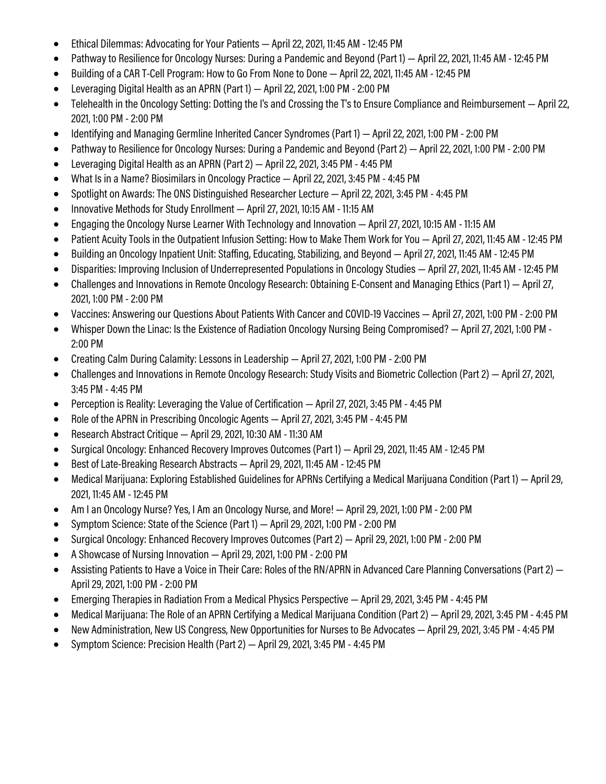- Ethical Dilemmas: Advocating for Your Patients April 22, 2021, 11:45 AM 12:45 PM
- Pathway to Resilience for Oncology Nurses: During a Pandemic and Beyond (Part 1) April 22, 2021, 11:45 AM 12:45 PM
- Building of a CAR T-Cell Program: How to Go From None to Done April 22, 2021, 11:45 AM 12:45 PM
- Leveraging Digital Health as an APRN (Part 1) April 22, 2021, 1:00 PM -2:00 PM
- Telehealth in the Oncology Setting: Dotting the I's and Crossing the T's to Ensure Compliance and Reimbursement April 22, 2021, 1:00 PM -2:00 PM
- Identifying and Managing Germline Inherited Cancer Syndromes (Part 1) April 22, 2021, 1:00 PM -2:00 PM
- Pathway to Resilience for Oncology Nurses: During a Pandemic and Beyond (Part 2) April 22, 2021, 1:00 PM -2:00 PM
- Leveraging Digital Health as an APRN (Part 2) April 22, 2021, 3:45 PM 4:45 PM
- What Is in a Name? Biosimilars in Oncology Practice April 22, 2021, 3:45 PM 4:45 PM
- Spotlight on Awards: The ONS Distinguished Researcher Lecture April 22, 2021, 3:45 PM 4:45 PM
- Innovative Methods for Study Enrollment April 27, 2021, 10:15 AM 11:15 AM
- Engaging the Oncology Nurse Learner With Technology and Innovation April 27, 2021, 10:15 AM 11:15 AM
- Patient Acuity Tools in the Outpatient Infusion Setting: How to Make Them Work for You April 27, 2021, 11:45 AM 12:45 PM
- Building an Oncology Inpatient Unit: Staffing, Educating, Stabilizing, and Beyond April 27,2021, 11:45 AM 12:45 PM
- Disparities: Improving Inclusion of Underrepresented Populations in Oncology Studies April 27, 2021, 11:45 AM 12:45 PM
- Challenges and Innovations in Remote Oncology Research: Obtaining E-Consent and Managing Ethics (Part 1) April 27, 2021, 1:00 PM -2:00 PM
- Vaccines: Answering our Questions About Patients With Cancer and COVID-19 Vaccines April 27, 2021, 1:00 PM -2:00 PM
- Whisper Down the Linac: Is the Existence of Radiation Oncology Nursing Being Compromised? April 27, 2021, 1:00 PM 2:00 PM
- Creating Calm During Calamity: Lessons in Leadership April 27, 2021, 1:00 PM 2:00 PM
- Challenges and Innovations in Remote Oncology Research: Study Visits and Biometric Collection (Part 2) April 27, 2021, 3:45 PM - 4:45 PM
- Perception is Reality: Leveraging the Value of Certification April 27, 2021, 3:45 PM 4:45 PM
- Role of the APRN in Prescribing Oncologic Agents April 27, 2021, 3:45 PM 4:45 PM
- Research Abstract Critique April 29, 2021, 10:30 AM 11:30 AM
- Surgical Oncology: Enhanced Recovery Improves Outcomes (Part 1) April 29, 2021, 11:45 AM 12:45 PM
- Best of Late-Breaking Research Abstracts April 29, 2021, 11:45 AM 12:45 PM
- Medical Marijuana: Exploring Established Guidelines for APRNs Certifying a Medical Marijuana Condition (Part 1) April 29, 2021, 11:45 AM - 12:45 PM
- Am I an Oncology Nurse? Yes, I Am an Oncology Nurse, and More! April 29, 2021, 1:00 PM 2:00 PM
- Symptom Science: State of the Science (Part 1) April 29, 2021, 1:00 PM -2:00 PM
- Surgical Oncology: Enhanced Recovery Improves Outcomes (Part 2) April 29, 2021, 1:00 PM 2:00 PM
- A Showcase of Nursing Innovation April 29, 2021, 1:00 PM -2:00 PM
- Assisting Patients to Have a Voice in Their Care: Roles of the RN/APRN in Advanced Care Planning Conversations (Part 2)  $-$ April 29, 2021, 1:00 PM -2:00 PM
- Emerging Therapies in Radiation From a Medical Physics Perspective April 29, 2021, 3:45 PM 4:45 PM
- Medical Marijuana: The Role of an APRN Certifying a Medical Marijuana Condition (Part 2) April 29, 2021, 3:45 PM 4:45 PM
- New Administration, New US Congress, New Opportunities for Nurses to Be Advocates April 29, 2021, 3:45 PM 4:45 PM
- Symptom Science: Precision Health (Part 2) April 29, 2021, 3:45 PM 4:45 PM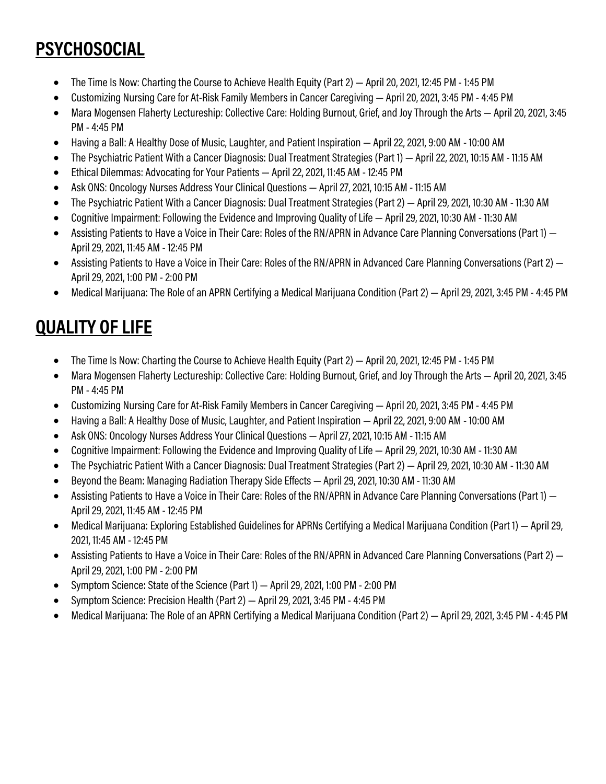# **PSYCHOSOCIAL**

- The Time Is Now: Charting the Course to Achieve Health Equity (Part 2) April 20, 2021, 12:45 PM 1:45 PM
- Customizing Nursing Care for At-Risk Family Members in Cancer Caregiving April 20, 2021, 3:45 PM 4:45 PM
- Mara Mogensen Flaherty Lectureship: Collective Care: Holding Burnout, Grief, and Joy Through the Arts April 20, 2021, 3:45 PM - 4:45 PM
- Having a Ball: A Healthy Dose of Music, Laughter, and Patient Inspiration April 22, 2021, 9:00 AM 10:00 AM
- The Psychiatric Patient With a Cancer Diagnosis: Dual Treatment Strategies (Part 1) April 22, 2021, 10:15 AM 11:15 AM
- Ethical Dilemmas: Advocating for Your Patients April 22, 2021, 11:45 AM 12:45 PM
- Ask ONS: Oncology Nurses Address Your Clinical Questions April 27, 2021, 10:15 AM 11:15 AM
- The Psychiatric Patient With a Cancer Diagnosis: Dual Treatment Strategies (Part 2) April 29, 2021, 10:30 AM 11:30 AM
- Cognitive Impairment: Following the Evidence and Improving Quality of Life April 29, 2021, 10:30 AM 11:30 AM
- Assisting Patients to Have a Voice in Their Care: Roles of the RN/APRN in Advance Care Planning Conversations (Part 1) April 29, 2021, 11:45 AM - 12:45 PM
- Assisting Patients to Have a Voice in Their Care: Roles of the RN/APRN in Advanced Care Planning Conversations (Part 2) April 29, 2021, 1:00 PM -2:00 PM
- Medical Marijuana: The Role of an APRN Certifying a Medical Marijuana Condition (Part 2) April 29, 2021, 3:45 PM 4:45 PM

# **QUALITY OF LIFE**

- The Time Is Now: Charting the Course to Achieve Health Equity (Part 2) April 20, 2021, 12:45 PM 1:45 PM
- Mara Mogensen Flaherty Lectureship: Collective Care: Holding Burnout, Grief, and Joy Through the Arts April 20, 2021, 3:45 PM - 4:45 PM
- Customizing Nursing Care for At-Risk Family Members in Cancer Caregiving April 20, 2021, 3:45 PM 4:45 PM
- Having a Ball: A Healthy Dose of Music, Laughter, and Patient Inspiration April 22, 2021, 9:00 AM 10:00 AM
- Ask ONS: Oncology Nurses Address Your Clinical Questions April 27, 2021, 10:15 AM 11:15 AM
- Cognitive Impairment: Following the Evidence and Improving Quality of Life April 29, 2021, 10:30 AM 11:30 AM
- The Psychiatric Patient With a Cancer Diagnosis: Dual Treatment Strategies (Part 2) April 29, 2021, 10:30 AM 11:30 AM
- Beyond the Beam: Managing Radiation Therapy Side Effects April 29, 2021, 10:30 AM 11:30 AM
- Assisting Patients to Have a Voice in Their Care: Roles of the RN/APRN in Advance Care Planning Conversations (Part 1) April 29, 2021, 11:45 AM - 12:45 PM
- Medical Marijuana: Exploring Established Guidelines for APRNs Certifying a Medical Marijuana Condition (Part 1) April 29, 2021, 11:45 AM - 12:45 PM
- Assisting Patients to Have a Voice in Their Care: Roles of the RN/APRN in Advanced Care Planning Conversations (Part 2) April 29, 2021, 1:00 PM -2:00 PM
- Symptom Science: State of the Science (Part 1) April 29, 2021, 1:00 PM -2:00 PM
- Symptom Science: Precision Health (Part 2) April 29, 2021, 3:45 PM 4:45 PM
- Medical Marijuana: The Role of an APRN Certifying a Medical Marijuana Condition (Part 2) April 29, 2021, 3:45 PM 4:45 PM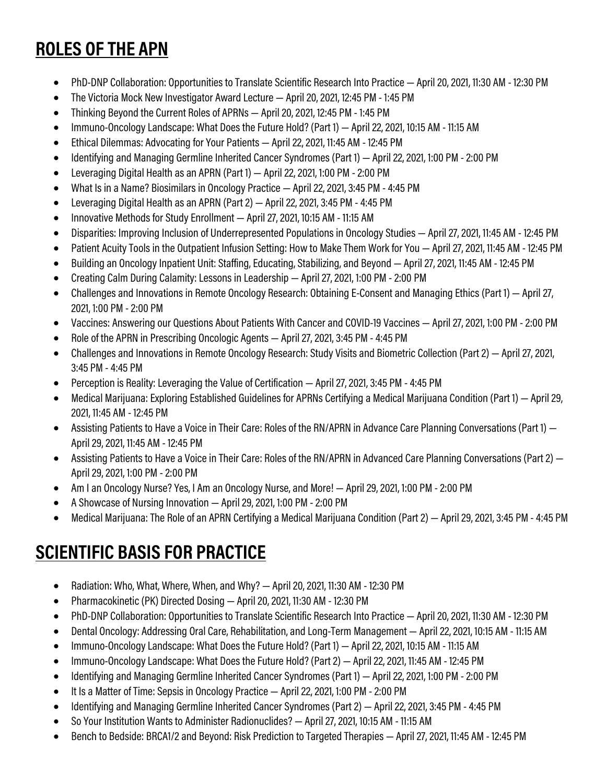## **ROLES OF THE APN**

- PhD-DNP Collaboration: Opportunities to Translate Scientific Research Into Practice April 20, 2021, 11:30 AM 12:30 PM
- The Victoria Mock New Investigator Award Lecture April 20, 2021, 12:45 PM 1:45 PM
- Thinking Beyond the Current Roles of APRNs April 20, 2021, 12:45 PM 1:45 PM
- Immuno-Oncology Landscape: What Does the Future Hold? (Part 1) April 22, 2021, 10:15 AM 11:15 AM
- Ethical Dilemmas: Advocating for Your Patients April 22, 2021, 11:45 AM 12:45 PM
- Identifying and Managing Germline Inherited Cancer Syndromes (Part 1) April 22, 2021, 1:00 PM -2:00 PM
- Leveraging Digital Health as an APRN (Part 1) April 22, 2021, 1:00 PM -2:00 PM
- What Is in a Name? Biosimilars in Oncology Practice April 22, 2021, 3:45 PM 4:45 PM
- Leveraging Digital Health as an APRN (Part 2) April 22, 2021, 3:45 PM 4:45 PM
- Innovative Methods for Study Enrollment April 27, 2021, 10:15 AM 11:15 AM
- Disparities: Improving Inclusion of Underrepresented Populations in Oncology Studies April 27, 2021, 11:45 AM 12:45 PM
- Patient Acuity Tools in the Outpatient Infusion Setting: How to Make Them Work for You April 27, 2021, 11:45 AM 12:45 PM
- Building an Oncology Inpatient Unit: Staffing, Educating, Stabilizing, and Beyond April 27, 2021, 11:45 AM 12:45 PM
- Creating Calm During Calamity: Lessons in Leadership April 27, 2021, 1:00 PM 2:00 PM
- Challenges and Innovations in Remote Oncology Research: Obtaining E-Consent and Managing Ethics (Part 1) April 27, 2021, 1:00 PM -2:00 PM
- Vaccines: Answering our Questions About Patients With Cancer and COVID-19 Vaccines April 27, 2021, 1:00 PM -2:00 PM
- Role of the APRN in Prescribing Oncologic Agents April 27, 2021, 3:45 PM 4:45 PM
- Challenges and Innovations in Remote Oncology Research: Study Visits and Biometric Collection (Part 2) April 27, 2021, 3:45 PM - 4:45 PM
- Perception is Reality: Leveraging the Value of Certification April 27, 2021, 3:45 PM 4:45 PM
- Medical Marijuana: Exploring Established Guidelines for APRNs Certifying a Medical Marijuana Condition (Part 1) April 29, 2021, 11:45 AM - 12:45 PM
- Assisting Patients to Have a Voice in Their Care: Roles of the RN/APRN in Advance Care Planning Conversations (Part 1) April 29, 2021, 11:45 AM - 12:45 PM
- Assisting Patients to Have a Voice in Their Care: Roles of the RN/APRN in Advanced Care Planning Conversations (Part 2) April 29, 2021, 1:00 PM -2:00 PM
- Am I an Oncology Nurse? Yes, I Am an Oncology Nurse, and More! April 29, 2021, 1:00 PM 2:00 PM
- A Showcase of Nursing Innovation April 29, 2021, 1:00 PM 2:00 PM
- Medical Marijuana: The Role of an APRN Certifying a Medical Marijuana Condition (Part 2) April 29, 2021, 3:45 PM 4:45 PM

## **SCIENTIFIC BASIS FOR PRACTICE**

- Radiation: Who, What, Where, When, and Why? April 20, 2021, 11:30 AM 12:30 PM
- Pharmacokinetic (PK) Directed Dosing April 20, 2021, 11:30 AM 12:30 PM
- PhD-DNP Collaboration: Opportunities to Translate Scientific Research Into Practice April 20, 2021, 11:30 AM 12:30 PM
- Dental Oncology: Addressing Oral Care, Rehabilitation, and Long-Term Management April 22, 2021, 10:15 AM 11:15 AM
- Immuno-Oncology Landscape: What Does the Future Hold? (Part 1) April 22, 2021, 10:15 AM 11:15 AM
- Immuno-Oncology Landscape: What Does the Future Hold? (Part 2) April 22, 2021, 11:45 AM 12:45 PM
- Identifying and Managing Germline Inherited Cancer Syndromes (Part 1) April 22, 2021, 1:00 PM 2:00 PM
- It Is a Matter of Time: Sepsis in Oncology Practice April 22, 2021, 1:00 PM -2:00 PM
- Identifying and Managing Germline Inherited Cancer Syndromes (Part 2) April 22, 2021, 3:45 PM 4:45 PM
- So Your Institution Wants to Administer Radionuclides? April 27, 2021, 10:15 AM 11:15 AM
- Bench to Bedside: BRCA1/2 and Beyond: Risk Prediction to Targeted Therapies April 27, 2021, 11:45 AM 12:45 PM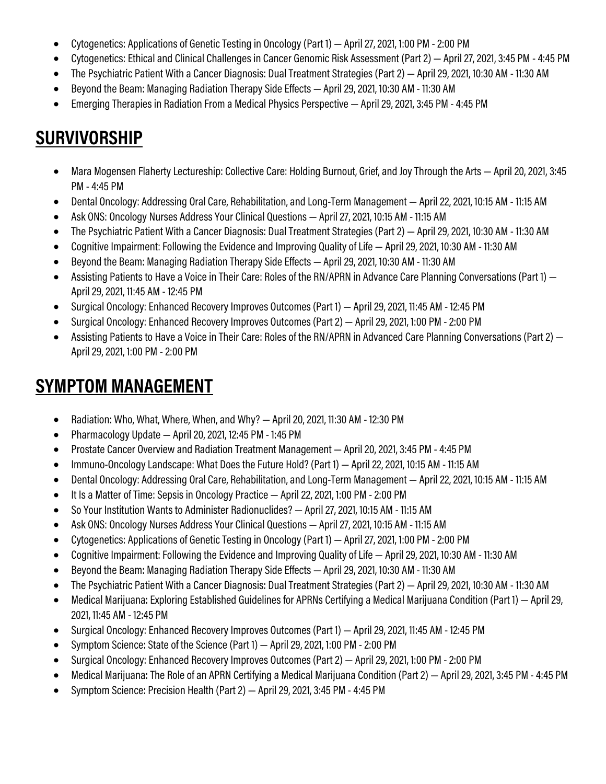- Cytogenetics: Applications of Genetic Testing in Oncology (Part 1) April 27, 2021, 1:00 PM -2:00 PM
- Cytogenetics: Ethical and Clinical Challenges in Cancer Genomic Risk Assessment (Part 2) April 27, 2021, 3:45 PM 4:45 PM
- The Psychiatric Patient With a Cancer Diagnosis: Dual Treatment Strategies (Part 2) April 29, 2021, 10:30 AM 11:30 AM
- Beyond the Beam: Managing Radiation Therapy Side Effects April 29, 2021, 10:30 AM 11:30 AM
- Emerging Therapies in Radiation From a Medical Physics Perspective April 29, 2021, 3:45 PM 4:45 PM

#### **SURVIVORSHIP**

- Mara Mogensen Flaherty Lectureship: Collective Care: Holding Burnout, Grief, and Joy Through the Arts April 20, 2021, 3:45 PM - 4:45 PM
- Dental Oncology: Addressing Oral Care, Rehabilitation, and Long-Term Management April 22, 2021, 10:15 AM 11:15 AM
- Ask ONS: Oncology Nurses Address Your Clinical Questions April 27, 2021, 10:15 AM 11:15 AM
- The Psychiatric Patient With a Cancer Diagnosis: Dual Treatment Strategies (Part 2) April 29, 2021, 10:30 AM 11:30 AM
- Cognitive Impairment: Following the Evidence and Improving Quality of Life April 29, 2021, 10:30 AM 11:30 AM
- Beyond the Beam: Managing Radiation Therapy Side Effects April 29, 2021, 10:30 AM 11:30 AM
- Assisting Patients to Have a Voice in Their Care: Roles of the RN/APRN in Advance Care Planning Conversations (Part 1) April 29, 2021, 11:45 AM - 12:45 PM
- Surgical Oncology: Enhanced Recovery Improves Outcomes (Part 1) April 29, 2021, 11:45 AM 12:45 PM
- Surgical Oncology: Enhanced Recovery Improves Outcomes (Part 2) April 29, 2021, 1:00 PM 2:00 PM
- Assisting Patients to Have a Voice in Their Care: Roles of the RN/APRN in Advanced Care Planning Conversations (Part 2) April 29, 2021, 1:00 PM -2:00 PM

#### **SYMPTOM MANAGEMENT**

- Radiation: Who, What, Where, When, and Why? April 20, 2021, 11:30 AM 12:30 PM
- Pharmacology Update April 20, 2021, 12:45 PM 1:45 PM
- Prostate Cancer Overview and Radiation Treatment Management April 20, 2021, 3:45 PM 4:45 PM
- Immuno-Oncology Landscape: What Does the Future Hold? (Part 1) April 22, 2021, 10:15 AM 11:15 AM
- Dental Oncology: Addressing Oral Care, Rehabilitation, and Long-Term Management April 22, 2021, 10:15 AM 11:15 AM
- It Is a Matter of Time: Sepsis in Oncology Practice April 22, 2021, 1:00 PM -2:00 PM
- So Your Institution Wants to Administer Radionuclides? April 27, 2021, 10:15 AM 11:15 AM
- Ask ONS: Oncology Nurses Address Your Clinical Questions April 27, 2021, 10:15 AM 11:15 AM
- Cytogenetics: Applications of Genetic Testing in Oncology (Part 1) April 27, 2021, 1:00 PM -2:00 PM
- Cognitive Impairment: Following the Evidence and Improving Quality of Life April 29, 2021, 10:30 AM 11:30 AM
- Beyond the Beam: Managing Radiation Therapy Side Effects April 29, 2021, 10:30 AM 11:30 AM
- The Psychiatric Patient With a Cancer Diagnosis: Dual Treatment Strategies (Part 2) April 29, 2021, 10:30 AM 11:30 AM
- Medical Marijuana: Exploring Established Guidelines for APRNs Certifying a Medical Marijuana Condition (Part 1) April 29, 2021, 11:45 AM - 12:45 PM
- Surgical Oncology: Enhanced Recovery Improves Outcomes (Part 1) April 29, 2021, 11:45 AM 12:45 PM
- Symptom Science: State of the Science (Part 1) April 29, 2021, 1:00 PM -2:00 PM
- Surgical Oncology: Enhanced Recovery Improves Outcomes (Part 2) April 29, 2021, 1:00 PM -2:00 PM
- Medical Marijuana: The Role of an APRN Certifying a Medical Marijuana Condition (Part 2) April 29, 2021, 3:45 PM 4:45 PM
- Symptom Science: Precision Health (Part 2) April 29, 2021, 3:45 PM 4:45 PM